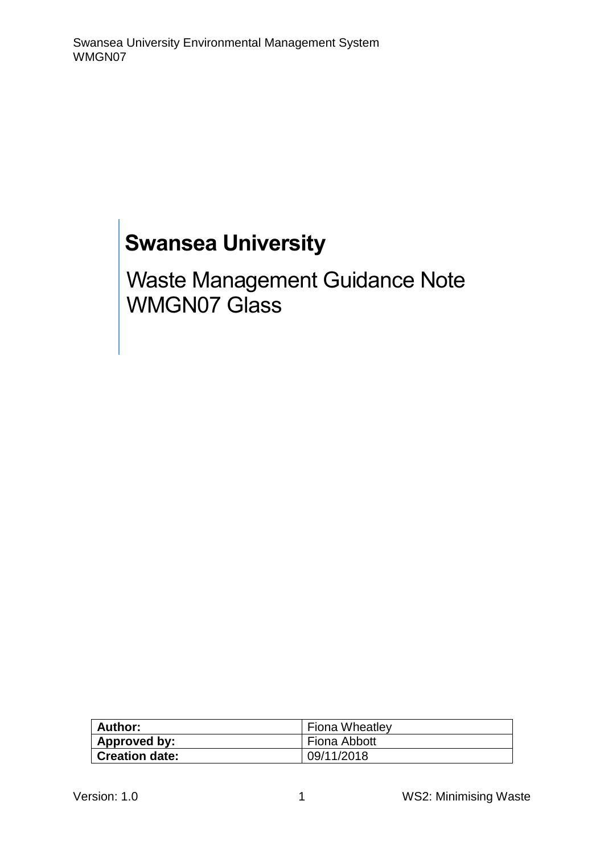# **Swansea University**

Waste Management Guidance Note WMGN07 Glass

| Author:               | <b>Fiona Wheatley</b> |
|-----------------------|-----------------------|
| Approved by:          | Fiona Abbott          |
| <b>Creation date:</b> | 09/11/2018            |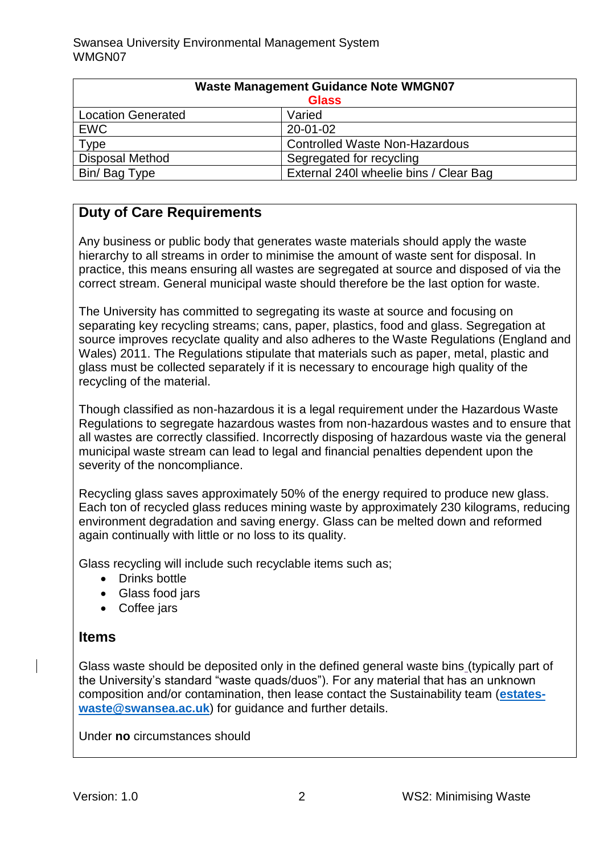| <b>Waste Management Guidance Note WMGN07</b> |                                        |
|----------------------------------------------|----------------------------------------|
| <b>Glass</b>                                 |                                        |
| <b>Location Generated</b>                    | Varied                                 |
| <b>EWC</b>                                   | 20-01-02                               |
| Type                                         | <b>Controlled Waste Non-Hazardous</b>  |
| <b>Disposal Method</b>                       | Segregated for recycling               |
| Bin/Bag Type                                 | External 240I wheelie bins / Clear Bag |

## **Duty of Care Requirements**

Any business or public body that generates waste materials should apply the waste hierarchy to all streams in order to minimise the amount of waste sent for disposal. In practice, this means ensuring all wastes are segregated at source and disposed of via the correct stream. General municipal waste should therefore be the last option for waste.

The University has committed to segregating its waste at source and focusing on separating key recycling streams; cans, paper, plastics, food and glass. Segregation at source improves recyclate quality and also adheres to the Waste Regulations (England and Wales) 2011. The Regulations stipulate that materials such as paper, metal, plastic and glass must be collected separately if it is necessary to encourage high quality of the recycling of the material.

Though classified as non-hazardous it is a legal requirement under the Hazardous Waste Regulations to segregate hazardous wastes from non-hazardous wastes and to ensure that all wastes are correctly classified. Incorrectly disposing of hazardous waste via the general municipal waste stream can lead to legal and financial penalties dependent upon the severity of the noncompliance.

Recycling glass saves approximately 50% of the energy required to produce new glass. Each ton of recycled glass reduces mining waste by approximately 230 kilograms, reducing environment degradation and saving energy. Glass can be melted down and reformed again continually with little or no loss to its quality.

Glass recycling will include such recyclable items such as;

- Drinks bottle
- Glass food jars
- Coffee jars

## **Items**

Glass waste should be deposited only in the defined general waste bins (typically part of the University's standard "waste quads/duos"). For any material that has an unknown composition and/or contamination, then lease contact the Sustainability team (**[estates](mailto:estates-waste@swansea.ac.uk)[waste@swansea.ac.uk](mailto:estates-waste@swansea.ac.uk)**) for guidance and further details.

Under **no** circumstances should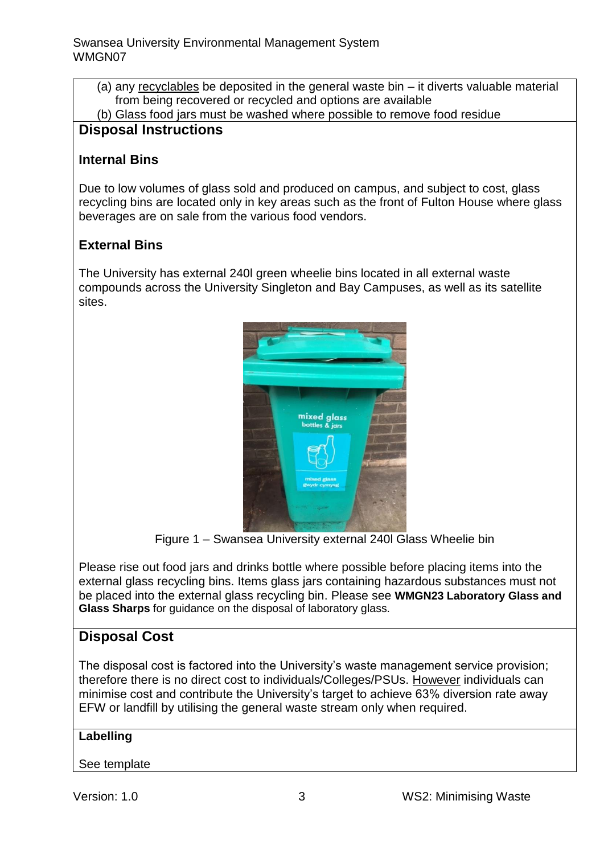- (a) any recyclables be deposited in the general waste bin it diverts valuable material from being recovered or recycled and options are available
- (b) Glass food jars must be washed where possible to remove food residue

## **Disposal Instructions**

#### **Internal Bins**

Due to low volumes of glass sold and produced on campus, and subject to cost, glass recycling bins are located only in key areas such as the front of Fulton House where glass beverages are on sale from the various food vendors.

## **External Bins**

The University has external 240l green wheelie bins located in all external waste compounds across the University Singleton and Bay Campuses, as well as its satellite sites.



Figure 1 – Swansea University external 240l Glass Wheelie bin

Please rise out food jars and drinks bottle where possible before placing items into the external glass recycling bins. Items glass jars containing hazardous substances must not be placed into the external glass recycling bin. Please see **WMGN23 Laboratory Glass and Glass Sharps** for guidance on the disposal of laboratory glass.

## **Disposal Cost**

The disposal cost is factored into the University's waste management service provision; therefore there is no direct cost to individuals/Colleges/PSUs. However individuals can minimise cost and contribute the University's target to achieve 63% diversion rate away EFW or landfill by utilising the general waste stream only when required.

#### **Labelling**

#### See template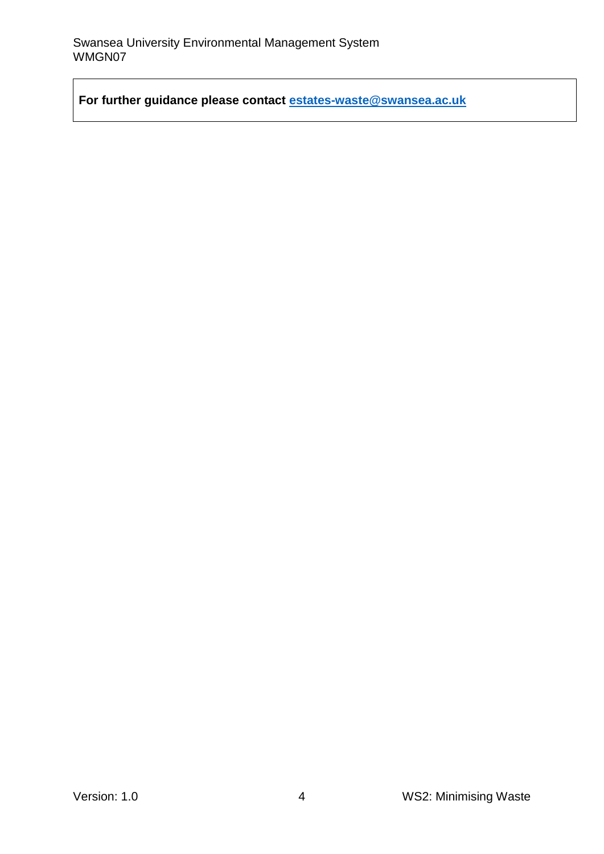**For further guidance please contact [estates-waste@swansea.ac.uk](mailto:estates-waste@swansea.ac.uk)**